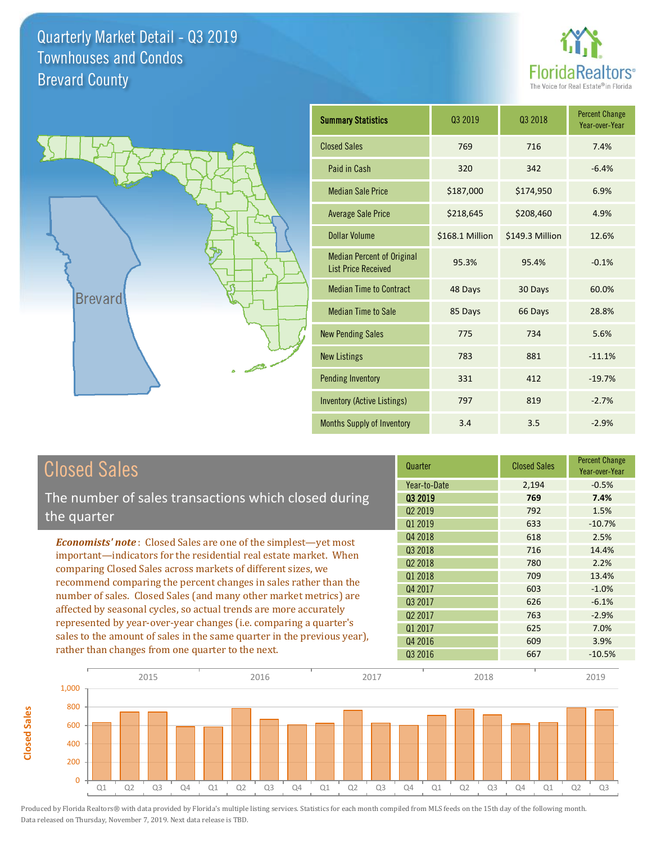



**Closed Sales**

**Closed Sales** 

| <b>Summary Statistics</b>                                       | 03 2019         | 03 2018         | <b>Percent Change</b><br>Year-over-Year |
|-----------------------------------------------------------------|-----------------|-----------------|-----------------------------------------|
| <b>Closed Sales</b>                                             | 769             | 716             | 7.4%                                    |
| Paid in Cash                                                    | 320             | 342             | $-6.4%$                                 |
| <b>Median Sale Price</b>                                        | \$187,000       | \$174,950       | 6.9%                                    |
| <b>Average Sale Price</b>                                       | \$218,645       | \$208,460       | 4.9%                                    |
| Dollar Volume                                                   | \$168.1 Million | \$149.3 Million | 12.6%                                   |
| <b>Median Percent of Original</b><br><b>List Price Received</b> | 95.3%           | 95.4%           | $-0.1%$                                 |
| <b>Median Time to Contract</b>                                  | 48 Days         | 30 Days         | 60.0%                                   |
| <b>Median Time to Sale</b>                                      | 85 Days         | 66 Days         | 28.8%                                   |
| <b>New Pending Sales</b>                                        | 775             | 734             | 5.6%                                    |
| <b>New Listings</b>                                             | 783             | 881             | $-11.1%$                                |
| <b>Pending Inventory</b>                                        | 331             | 412             | $-19.7%$                                |
| <b>Inventory (Active Listings)</b>                              | 797             | 819             | $-2.7%$                                 |
| <b>Months Supply of Inventory</b>                               | 3.4             | 3.5             | $-2.9%$                                 |

| <b>Closed Sales</b>                                                                                                                                                                                   | Quarter             | <b>Closed Sales</b> | <b>Percent Change</b><br>Year-over-Year |
|-------------------------------------------------------------------------------------------------------------------------------------------------------------------------------------------------------|---------------------|---------------------|-----------------------------------------|
|                                                                                                                                                                                                       | Year-to-Date        | 2,194               | $-0.5%$                                 |
| The number of sales transactions which closed during                                                                                                                                                  | 03 2019             | 769                 | 7.4%                                    |
| the quarter                                                                                                                                                                                           | Q <sub>2</sub> 2019 | 792                 | 1.5%                                    |
|                                                                                                                                                                                                       | 01 2019             | 633                 | $-10.7%$                                |
| <b>Economists' note:</b> Closed Sales are one of the simplest-yet most                                                                                                                                | Q4 2018             | 618                 | 2.5%                                    |
| important—indicators for the residential real estate market. When                                                                                                                                     | Q3 2018             | 716                 | 14.4%                                   |
| comparing Closed Sales across markets of different sizes, we<br>recommend comparing the percent changes in sales rather than the<br>number of sales. Closed Sales (and many other market metrics) are | Q <sub>2</sub> 2018 | 780                 | 2.2%                                    |
|                                                                                                                                                                                                       | Q1 2018             | 709                 | 13.4%                                   |
|                                                                                                                                                                                                       | Q4 2017             | 603                 | $-1.0%$                                 |
|                                                                                                                                                                                                       | Q3 2017             | 626                 | $-6.1%$                                 |
| affected by seasonal cycles, so actual trends are more accurately                                                                                                                                     | 02 2017             | 763                 | $-2.9%$                                 |
| represented by year-over-year changes (i.e. comparing a quarter's<br>sales to the amount of sales in the same quarter in the previous year),                                                          | 01 2017             | 625                 | 7.0%                                    |
|                                                                                                                                                                                                       | Q4 2016             | 609                 | 3.9%                                    |
| rather than changes from one quarter to the next.                                                                                                                                                     | Q3 2016             | 667                 | $-10.5%$                                |

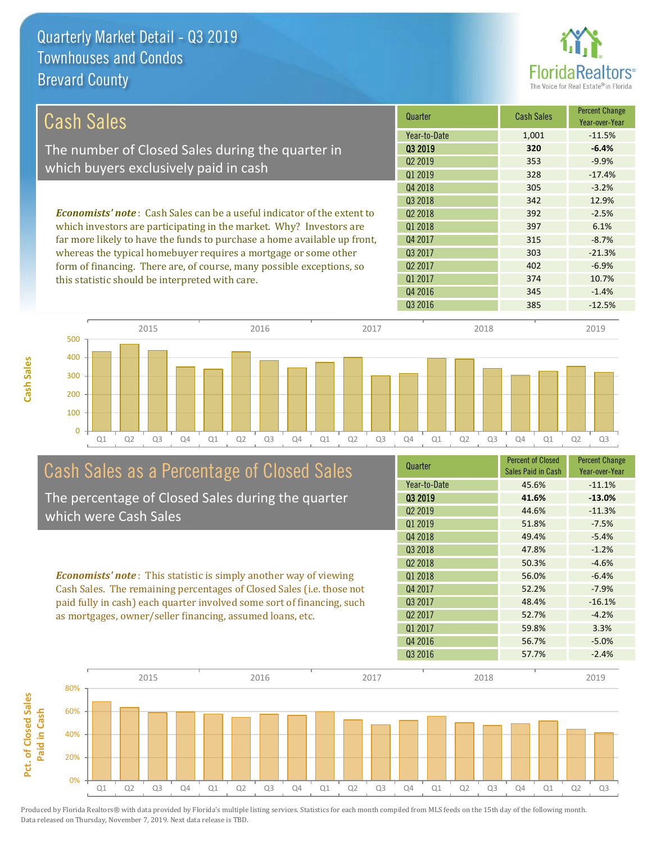

| <b>Cash Sales</b>                                                              | Quarter             | <b>Cash Sales</b> | <b>Percent Change</b><br>Year-over-Year |
|--------------------------------------------------------------------------------|---------------------|-------------------|-----------------------------------------|
|                                                                                | Year-to-Date        | 1,001             | $-11.5%$                                |
| The number of Closed Sales during the quarter in                               | 03 2019             | 320               | $-6.4%$                                 |
| which buyers exclusively paid in cash                                          | 02 2019             | 353               | $-9.9%$                                 |
|                                                                                | Q1 2019             | 328               | $-17.4%$                                |
|                                                                                | Q4 2018             | 305               | $-3.2%$                                 |
|                                                                                | 03 2018             | 342               | 12.9%                                   |
| <b>Economists' note:</b> Cash Sales can be a useful indicator of the extent to | 02 2018             | 392               | $-2.5%$                                 |
| which investors are participating in the market. Why? Investors are            | 01 2018             | 397               | 6.1%                                    |
| far more likely to have the funds to purchase a home available up front,       | Q4 2017             | 315               | $-8.7%$                                 |
| whereas the typical homebuyer requires a mortgage or some other                | Q3 2017             | 303               | $-21.3%$                                |
| form of financing. There are, of course, many possible exceptions, so          | Q <sub>2</sub> 2017 | 402               | $-6.9%$                                 |
| this statistic should be interpreted with care.                                | Q1 2017             | 374               | 10.7%                                   |
|                                                                                | Q4 2016             | 345               | $-1.4%$                                 |



# Cash Sales as a Percentage of Closed Sales

The percentage of Closed Sales during the quarter which were Cash Sales

*Economists' note* : This statistic is simply another way of viewing Cash Sales. The remaining percentages of Closed Sales (i.e. those not paid fully in cash) each quarter involved some sort of financing, such as mortgages, owner/seller financing, assumed loans, etc.

| Quarter             | <b>Percent of Closed</b><br>Sales Paid in Cash | <b>Percent Change</b><br>Year-over-Year |
|---------------------|------------------------------------------------|-----------------------------------------|
| Year-to-Date        | 45.6%                                          | $-11.1%$                                |
| 03 2019             | 41.6%                                          | $-13.0%$                                |
| Q <sub>2</sub> 2019 | 44.6%                                          | $-11.3%$                                |
| Q1 2019             | 51.8%                                          | $-7.5%$                                 |
| Q4 2018             | 49.4%                                          | $-5.4%$                                 |
| Q <sub>3</sub> 2018 | 47.8%                                          | $-1.2%$                                 |
| Q <sub>2</sub> 2018 | 50.3%                                          | $-4.6%$                                 |
| 01 2018             | 56.0%                                          | $-6.4%$                                 |
| Q4 2017             | 52.2%                                          | $-7.9%$                                 |
| 03 2017             | 48.4%                                          | $-16.1%$                                |
| Q <sub>2</sub> 2017 | 52.7%                                          | $-4.2%$                                 |
| Q1 2017             | 59.8%                                          | 3.3%                                    |
| Q4 2016             | 56.7%                                          | $-5.0%$                                 |
| Q3 2016             | 57.7%                                          | $-2.4%$                                 |

Q3 2016 385 -12.5%

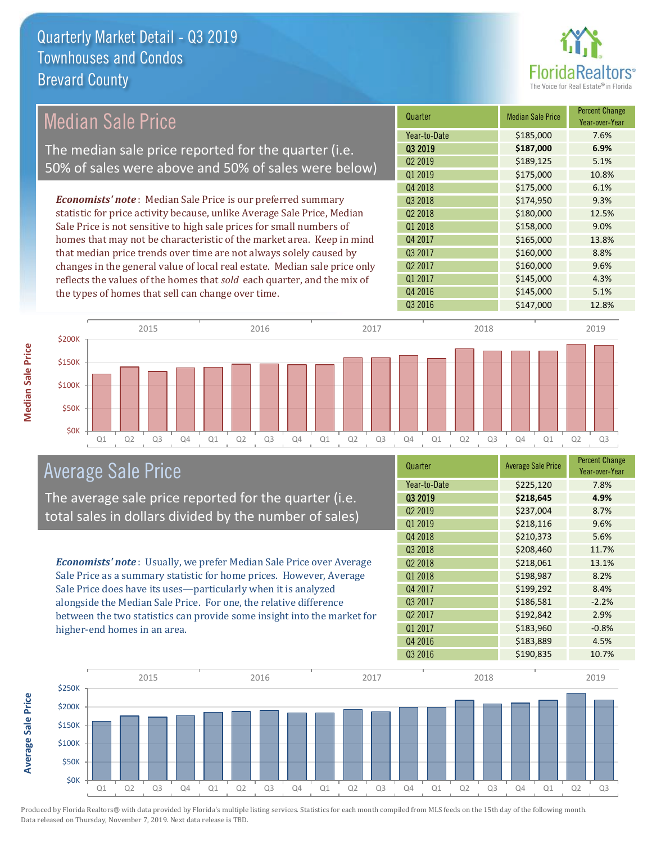

## Median Sale Price

The median sale price reported for the quarter (i.e. 50% of sales were above and 50% of sales were below)

*Economists' note* : Median Sale Price is our preferred summary statistic for price activity because, unlike Average Sale Price, Median Sale Price is not sensitive to high sale prices for small numbers of homes that may not be characteristic of the market area. Keep in mind that median price trends over time are not always solely caused by changes in the general value of local real estate. Median sale price only reflects the values of the homes that *sold* each quarter, and the mix of the types of homes that sell can change over time.

| Quarter             | <b>Median Sale Price</b> | <b>Percent Change</b><br>Year-over-Year |
|---------------------|--------------------------|-----------------------------------------|
| Year-to-Date        | \$185,000                | 7.6%                                    |
| Q3 2019             | \$187,000                | 6.9%                                    |
| Q <sub>2</sub> 2019 | \$189,125                | 5.1%                                    |
| Q1 2019             | \$175,000                | 10.8%                                   |
| Q4 2018             | \$175,000                | 6.1%                                    |
| Q3 2018             | \$174,950                | 9.3%                                    |
| Q <sub>2</sub> 2018 | \$180,000                | 12.5%                                   |
| Q1 2018             | \$158,000                | 9.0%                                    |
| Q4 2017             | \$165,000                | 13.8%                                   |
| Q3 2017             | \$160,000                | 8.8%                                    |
| Q <sub>2</sub> 2017 | \$160,000                | 9.6%                                    |
| Q1 2017             | \$145,000                | 4.3%                                    |
| Q4 2016             | \$145,000                | 5.1%                                    |
| Q3 2016             | \$147,000                | 12.8%                                   |



#### Average Sale Price

The average sale price reported for the quarter (i.e. total sales in dollars divided by the number of sales)

*Economists' note* : Usually, we prefer Median Sale Price over Average Sale Price as a summary statistic for home prices. However, Average Sale Price does have its uses—particularly when it is analyzed alongside the Median Sale Price. For one, the relative difference between the two statistics can provide some insight into the market for higher-end homes in an area.

| Quarter             | <b>Average Sale Price</b> | <b>Percent Change</b><br>Year-over-Year |
|---------------------|---------------------------|-----------------------------------------|
| Year-to-Date        | \$225,120                 | 7.8%                                    |
| 03 2019             | \$218,645                 | 4.9%                                    |
| Q <sub>2</sub> 2019 | \$237,004                 | 8.7%                                    |
| Q1 2019             | \$218,116                 | 9.6%                                    |
| Q4 2018             | \$210,373                 | 5.6%                                    |
| Q3 2018             | \$208,460                 | 11.7%                                   |
| Q <sub>2</sub> 2018 | \$218,061                 | 13.1%                                   |
| Q1 2018             | \$198,987                 | 8.2%                                    |
| Q4 2017             | \$199,292                 | 8.4%                                    |
| Q3 2017             | \$186,581                 | $-2.2%$                                 |
| Q <sub>2</sub> 2017 | \$192,842                 | 2.9%                                    |
| Q1 2017             | \$183,960                 | $-0.8%$                                 |
| Q4 2016             | \$183,889                 | 4.5%                                    |
| Q3 2016             | \$190,835                 | 10.7%                                   |



**Median Sale Price**

**Median Sale Price** 

Produced by Florida Realtors® with data provided by Florida's multiple listing services. Statistics for each month compiled from MLS feeds on the 15th day of the following month. Data released on Thursday, November 7, 2019. Next data release is TBD.

**Average Sale Price**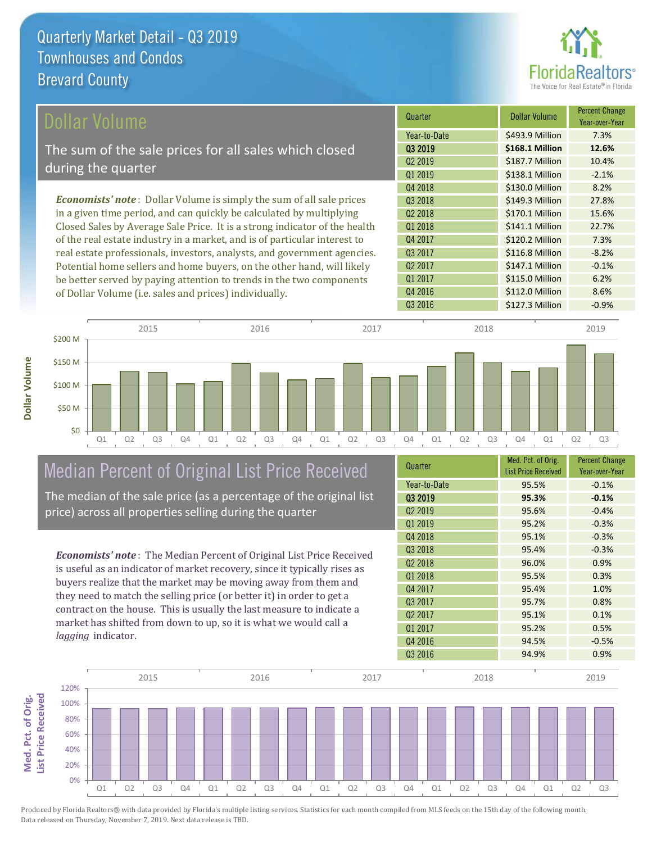

| Dollar Volume                                                                | Quarter             | <b>Dollar Volume</b> | <b>Percent Change</b><br>Year-over-Year |
|------------------------------------------------------------------------------|---------------------|----------------------|-----------------------------------------|
|                                                                              | Year-to-Date        | \$493.9 Million      | 7.3%                                    |
| The sum of the sale prices for all sales which closed                        | 03 2019             | \$168.1 Million      | 12.6%                                   |
| during the quarter                                                           | Q <sub>2</sub> 2019 | \$187.7 Million      | 10.4%                                   |
|                                                                              | Q1 2019             | \$138.1 Million      | $-2.1%$                                 |
|                                                                              | Q4 2018             | \$130.0 Million      | 8.2%                                    |
| <b>Economists' note</b> : Dollar Volume is simply the sum of all sale prices | Q3 2018             | \$149.3 Million      | 27.8%                                   |
| in a given time period, and can quickly be calculated by multiplying         | Q <sub>2</sub> 2018 | \$170.1 Million      | 15.6%                                   |
| Closed Sales by Average Sale Price. It is a strong indicator of the health   | Q1 2018             | \$141.1 Million      | 22.7%                                   |
| of the real estate industry in a market, and is of particular interest to    | Q4 2017             | \$120.2 Million      | 7.3%                                    |
| real estate professionals, investors, analysts, and government agencies.     | Q3 2017             | \$116.8 Million      | $-8.2%$                                 |
| Potential home sellers and home buyers, on the other hand, will likely       | Q <sub>2</sub> 2017 | \$147.1 Million      | $-0.1%$                                 |
| be better served by paying attention to trends in the two components         | Q1 2017             | \$115.0 Million      | 6.2%                                    |
| of Dollar Volume (i.e. sales and prices) individually                        | Q4 2016             | \$112.0 Million      | 8.6%                                    |

Q1 Q2 Q3 Q4 Q1 Q2 Q3 Q4 Q1 Q2 Q3 Q4 Q1 Q2 Q3 Q4 Q1 Q2 Q3 \$0 \$50 M \$100 M \$150 M \$200 M 2015 2016 2017 2018 2019

# Median Percent of Original List Price Received

of Dollar Volume (i.e. sales and prices) individually.

The median of the sale price (as a percentage of the original list price) across all properties selling during the quarter

*Economists' note* : The Median Percent of Original List Price Received is useful as an indicator of market recovery, since it typically rises as buyers realize that the market may be moving away from them and they need to match the selling price (or better it) in order to get a contract on the house. This is usually the last measure to indicate a market has shifted from down to up, so it is what we would call a *lagging* indicator.

| Quarter             | Med. Pct. of Orig.<br><b>List Price Received</b> | <b>Percent Change</b><br>Year-over-Year |
|---------------------|--------------------------------------------------|-----------------------------------------|
| Year-to-Date        | 95.5%                                            | $-0.1%$                                 |
| 03 2019             | 95.3%                                            | $-0.1%$                                 |
| Q <sub>2</sub> 2019 | 95.6%                                            | $-0.4%$                                 |
| Q1 2019             | 95.2%                                            | $-0.3%$                                 |
| Q4 2018             | 95.1%                                            | $-0.3%$                                 |
| Q3 2018             | 95.4%                                            | $-0.3%$                                 |
| Q <sub>2</sub> 2018 | 96.0%                                            | 0.9%                                    |
| 01 2018             | 95.5%                                            | 0.3%                                    |
| Q4 2017             | 95.4%                                            | 1.0%                                    |
| Q3 2017             | 95.7%                                            | 0.8%                                    |
| Q <sub>2</sub> 2017 | 95.1%                                            | 0.1%                                    |
| Q1 2017             | 95.2%                                            | 0.5%                                    |
| Q4 2016             | 94.5%                                            | $-0.5%$                                 |
| Q3 2016             | 94.9%                                            | 0.9%                                    |

Q3 2016 **\$127.3 Million -0.9%** 

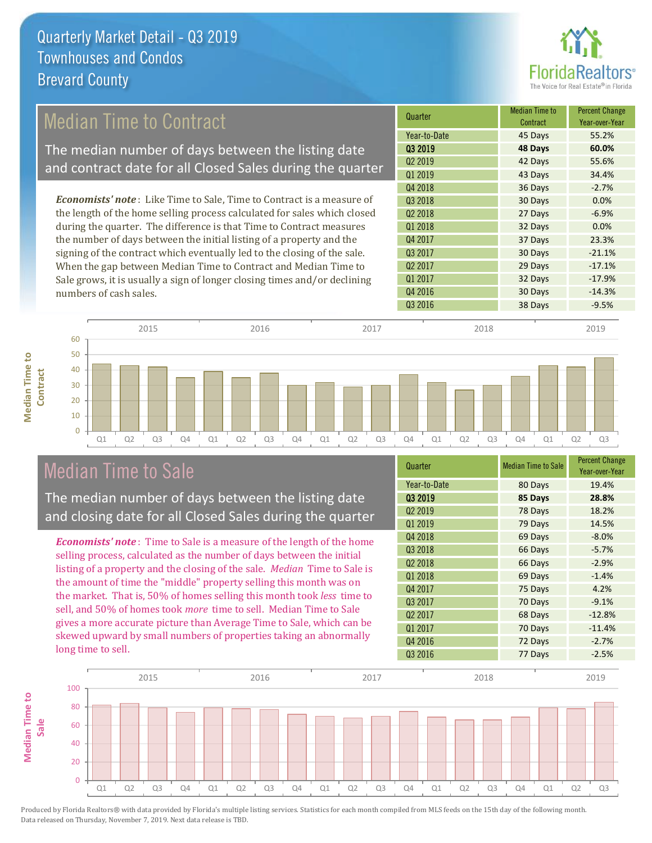

## Median Time to Contract

The median number of days between the listing date and contract date for all Closed Sales during the quarter

*Economists' note* : Like Time to Sale, Time to Contract is a measure of the length of the home selling process calculated for sales which closed during the quarter. The difference is that Time to Contract measures the number of days between the initial listing of a property and the signing of the contract which eventually led to the closing of the sale. When the gap between Median Time to Contract and Median Time to Sale grows, it is usually a sign of longer closing times and/or declining numbers of cash sales.





#### Median Time to Sale

**Median Time to** 

**Median Time to** 

The median number of days between the listing date and closing date for all Closed Sales during the quarter

*Economists' note* : Time to Sale is a measure of the length of the home selling process, calculated as the number of days between the initial listing of a property and the closing of the sale. *Median* Time to Sale is the amount of time the "middle" property selling this month was on the market. That is, 50% of homes selling this month took *less* time to sell, and 50% of homes took *more* time to sell. Median Time to Sale gives a more accurate picture than Average Time to Sale, which can be skewed upward by small numbers of properties taking an abnormally long time to sell.

| Quarter             | <b>Median Time to Sale</b> | <b>Percent Change</b><br>Year-over-Year |
|---------------------|----------------------------|-----------------------------------------|
| Year-to-Date        | 80 Days                    | 19.4%                                   |
| Q3 2019             | 85 Days                    | 28.8%                                   |
| Q <sub>2</sub> 2019 | 78 Days                    | 18.2%                                   |
| Q1 2019             | 79 Days                    | 14.5%                                   |
| Q4 2018             | 69 Days                    | $-8.0%$                                 |
| Q3 2018             | 66 Days                    | $-5.7%$                                 |
| Q <sub>2</sub> 2018 | 66 Days                    | $-2.9%$                                 |
| Q1 2018             | 69 Days                    | $-1.4%$                                 |
| Q4 2017             | 75 Days                    | 4.2%                                    |
| Q3 2017             | 70 Days                    | $-9.1%$                                 |
| Q <sub>2</sub> 2017 | 68 Days                    | $-12.8%$                                |
| Q1 2017             | 70 Days                    | $-11.4%$                                |
| Q4 2016             | 72 Days                    | $-2.7%$                                 |
| Q3 2016             | 77 Days                    | $-2.5%$                                 |

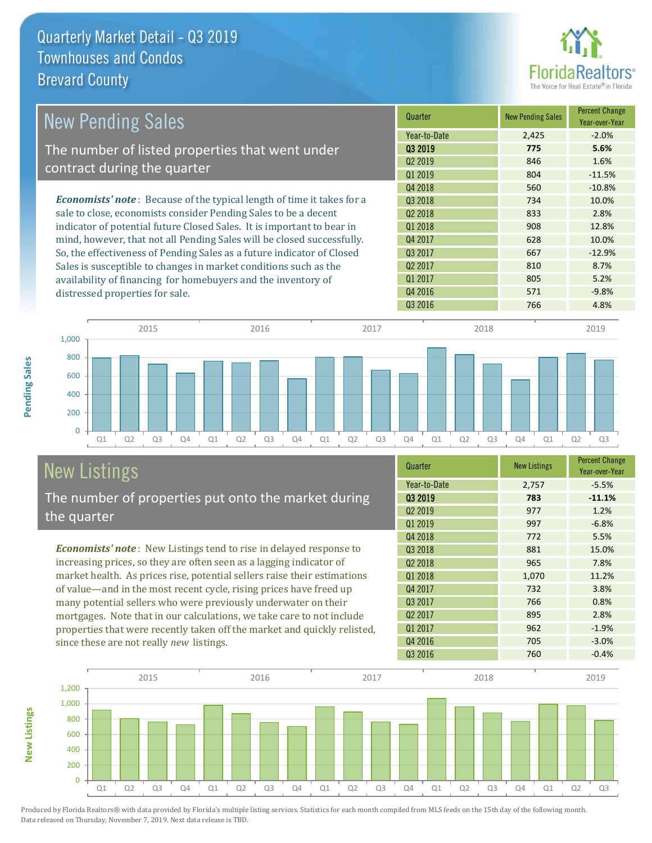

| <b>New Pending Sales</b>                                                      | Quarter             | <b>New Pending Sales</b> | <b>Percent Change</b><br>Year-over-Year |
|-------------------------------------------------------------------------------|---------------------|--------------------------|-----------------------------------------|
|                                                                               | Year-to-Date        | 2,425                    | $-2.0%$                                 |
| The number of listed properties that went under                               | 03 2019             | 775                      | 5.6%                                    |
| contract during the quarter                                                   | Q <sub>2</sub> 2019 | 846                      | 1.6%                                    |
|                                                                               | 01 2019             | 804                      | $-11.5%$                                |
|                                                                               | Q4 2018             | 560                      | $-10.8%$                                |
| <b>Economists' note:</b> Because of the typical length of time it takes for a | 03 2018             | 734                      | 10.0%                                   |
| sale to close, economists consider Pending Sales to be a decent               | Q <sub>2</sub> 2018 | 833                      | 2.8%                                    |
| indicator of potential future Closed Sales. It is important to bear in        | Q1 2018             | 908                      | 12.8%                                   |
| mind, however, that not all Pending Sales will be closed successfully.        | Q4 2017             | 628                      | 10.0%                                   |
| So, the effectiveness of Pending Sales as a future indicator of Closed        | Q3 2017             | 667                      | $-12.9%$                                |
| Sales is susceptible to changes in market conditions such as the              | Q <sub>2</sub> 2017 | 810                      | 8.7%                                    |
| availability of financing for homebuyers and the inventory of                 | Q1 2017             | 805                      | 5.2%                                    |
| distressed properties for sale.                                               | Q4 2016             | 571                      | $-9.8%$                                 |



# New Listings

The number of properties put onto the market during the quarter

*Economists' note* : New Listings tend to rise in delayed response to increasing prices, so they are often seen as a lagging indicator of market health. As prices rise, potential sellers raise their estimations of value—and in the most recent cycle, rising prices have freed up many potential sellers who were previously underwater on their mortgages. Note that in our calculations, we take care to not include properties that were recently taken off the market and quickly relisted, since these are not really *new* listings.

| Quarter             | <b>New Listings</b> | <b>Percent Change</b><br>Year-over-Year |
|---------------------|---------------------|-----------------------------------------|
| Year-to-Date        | 2,757               | $-5.5%$                                 |
| 03 2019             | 783                 | $-11.1%$                                |
| Q <sub>2</sub> 2019 | 977                 | 1.2%                                    |
| Q1 2019             | 997                 | $-6.8%$                                 |
| Q4 2018             | 772                 | 5.5%                                    |
| Q3 2018             | 881                 | 15.0%                                   |
| Q <sub>2</sub> 2018 | 965                 | 7.8%                                    |
| Q1 2018             | 1,070               | 11.2%                                   |
| Q4 2017             | 732                 | 3.8%                                    |
| Q3 2017             | 766                 | 0.8%                                    |
| Q <sub>2</sub> 2017 | 895                 | 2.8%                                    |
| Q1 2017             | 962                 | $-1.9%$                                 |
| Q4 2016             | 705                 | $-3.0%$                                 |
| Q3 2016             | 760                 | $-0.4%$                                 |

Q3 2016 766 4.8%



**New Listings**

**Pending Sales**

Pending Sales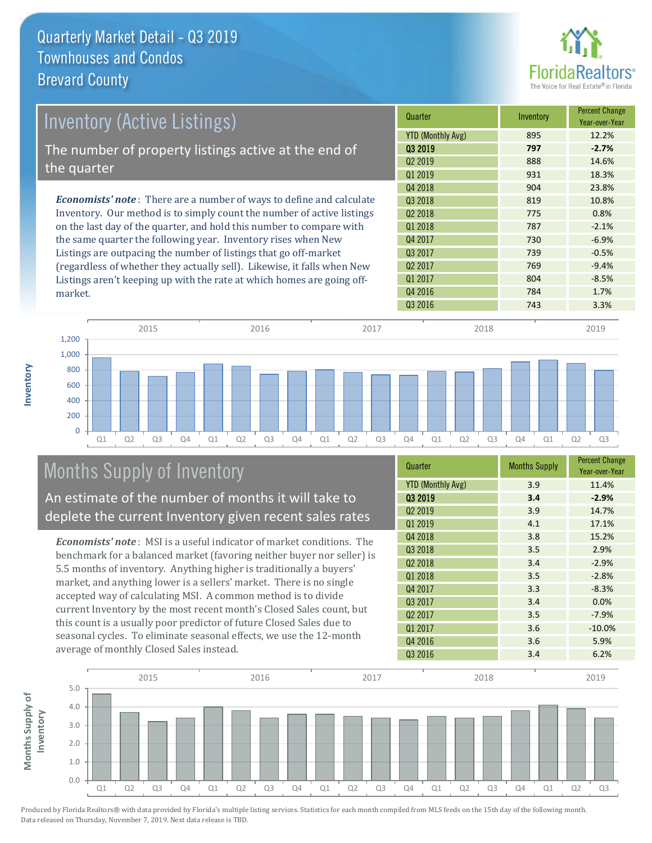

| Inventory (Active Listings)                                                  | Quarter                  | Inventory | <b>Percent Change</b><br>Year-over-Year |
|------------------------------------------------------------------------------|--------------------------|-----------|-----------------------------------------|
|                                                                              | <b>YTD (Monthly Avg)</b> | 895       | 12.2%                                   |
| The number of property listings active at the end of                         | 03 2019                  | 797       | $-2.7%$                                 |
|                                                                              | Q <sub>2</sub> 2019      | 888       | 14.6%                                   |
| the quarter                                                                  | Q1 2019                  | 931       | 18.3%                                   |
|                                                                              | Q4 2018                  | 904       | 23.8%                                   |
| <b>Economists' note</b> : There are a number of ways to define and calculate | 03 2018                  | 819       | 10.8%                                   |
| Inventory. Our method is to simply count the number of active listings       | Q <sub>2</sub> 2018      | 775       | 0.8%                                    |
| on the last day of the quarter, and hold this number to compare with         | Q1 2018                  | 787       | $-2.1%$                                 |
| the same quarter the following year. Inventory rises when New                | Q4 2017                  | 730       | $-6.9%$                                 |
| Listings are outpacing the number of listings that go off-market             | Q3 2017                  | 739       | $-0.5%$                                 |
| (regardless of whether they actually sell). Likewise, it falls when New      | Q <sub>2</sub> 2017      | 769       | $-9.4%$                                 |
| Listings aren't keeping up with the rate at which homes are going off-       | 01 2017                  | 804       | $-8.5%$                                 |



## Months Supply of Inventory

An estimate of the number of months it will take to deplete the current Inventory given recent sales rates

*Economists' note* : MSI is a useful indicator of market conditions. The benchmark for a balanced market (favoring neither buyer nor seller) is 5.5 months of inventory. Anything higher is traditionally a buyers' market, and anything lower is a sellers' market. There is no single accepted way of calculating MSI. A common method is to divide current Inventory by the most recent month's Closed Sales count, but this count is a usually poor predictor of future Closed Sales due to seasonal cycles. To eliminate seasonal effects, we use the 12-month average of monthly Closed Sales instead.

| Quarter                  | <b>Months Supply</b> | <b>Percent Change</b><br>Year-over-Year |
|--------------------------|----------------------|-----------------------------------------|
| <b>YTD (Monthly Avg)</b> | 3.9                  | 11.4%                                   |
| 03 2019                  | 3.4                  | $-2.9%$                                 |
| Q <sub>2</sub> 2019      | 3.9                  | 14.7%                                   |
| Q1 2019                  | 4.1                  | 17.1%                                   |
| Q4 2018                  | 3.8                  | 15.2%                                   |
| Q3 2018                  | 3.5                  | 2.9%                                    |
| Q <sub>2</sub> 2018      | 3.4                  | $-2.9%$                                 |
| Q1 2018                  | 3.5                  | $-2.8%$                                 |
| Q4 2017                  | 3.3                  | $-8.3%$                                 |
| Q3 2017                  | 3.4                  | 0.0%                                    |
| 02 2017                  | 3.5                  | $-7.9%$                                 |
| Q1 2017                  | 3.6                  | $-10.0%$                                |
| Q4 2016                  | 3.6                  | 5.9%                                    |
| Q3 2016                  | 3.4                  | 6.2%                                    |

Q4 2016 **784** 1.7%



Produced by Florida Realtors® with data provided by Florida's multiple listing services. Statistics for each month compiled from MLS feeds on the 15th day of the following month. Data released on Thursday, November 7, 2019. Next data release is TBD.

market.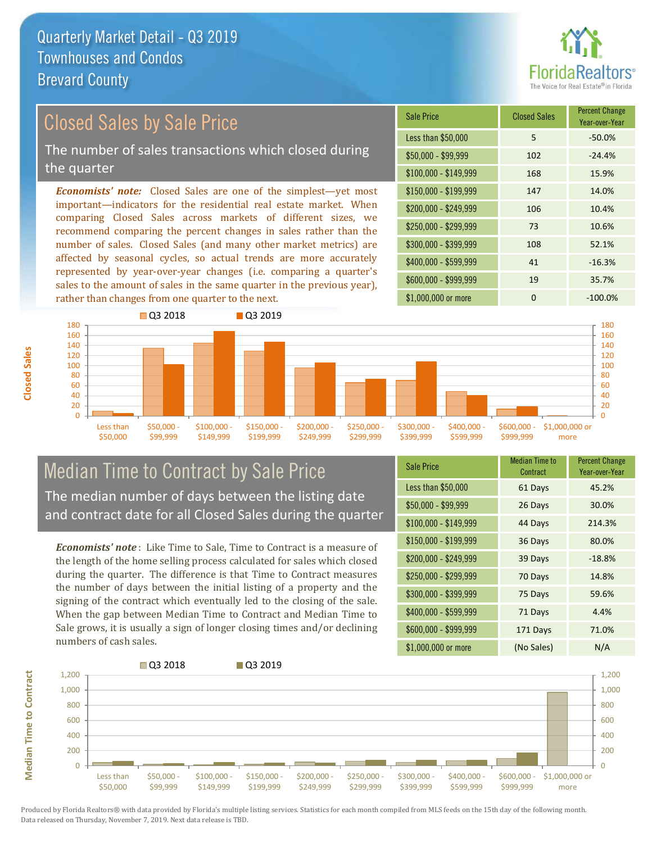

## Closed Sales by Sale Price

The number of sales transactions which closed during the quarter

*Economists' note:* Closed Sales are one of the simplest—yet most important—indicators for the residential real estate market. When comparing Closed Sales across markets of different sizes, we recommend comparing the percent changes in sales rather than the number of sales. Closed Sales (and many other market metrics) are affected by seasonal cycles, so actual trends are more accurately represented by year-over-year changes (i.e. comparing a quarter's sales to the amount of sales in the same quarter in the previous year), rather than changes from one quarter to the next.

| Sale Price            | <b>Closed Sales</b> | <b>Percent Change</b><br>Year-over-Year |
|-----------------------|---------------------|-----------------------------------------|
| Less than \$50,000    | 5                   | $-50.0%$                                |
| $$50,000 - $99,999$   | 102                 | $-24.4%$                                |
| $$100,000 - $149,999$ | 168                 | 15.9%                                   |
| $$150,000 - $199,999$ | 147                 | 14.0%                                   |
| \$200,000 - \$249,999 | 106                 | 10.4%                                   |
| \$250,000 - \$299,999 | 73                  | 10.6%                                   |
| \$300,000 - \$399,999 | 108                 | 52.1%                                   |
| \$400,000 - \$599,999 | 41                  | $-16.3%$                                |
| \$600,000 - \$999,999 | 19                  | 35.7%                                   |
| \$1,000,000 or more   | ი                   | $-100.0%$                               |



#### Median Time to Contract by Sale Price The median number of days between the listing date and contract date for all Closed Sales during the quarter

*Economists' note* : Like Time to Sale, Time to Contract is a measure of the length of the home selling process calculated for sales which closed during the quarter. The difference is that Time to Contract measures the number of days between the initial listing of a property and the signing of the contract which eventually led to the closing of the sale. When the gap between Median Time to Contract and Median Time to Sale grows, it is usually a sign of longer closing times and/or declining numbers of cash sales.

| <b>Sale Price</b>     | Median Time to<br>Contract | <b>Percent Change</b><br>Year-over-Year |
|-----------------------|----------------------------|-----------------------------------------|
| Less than \$50,000    | 61 Days                    | 45.2%                                   |
| $$50,000 - $99,999$   | 26 Days                    | 30.0%                                   |
| $$100,000 - $149,999$ | 44 Days                    | 214.3%                                  |
| $$150,000 - $199,999$ | 36 Days                    | 80.0%                                   |
| \$200,000 - \$249,999 | 39 Days                    | $-18.8%$                                |
| \$250,000 - \$299,999 | 70 Days                    | 14.8%                                   |
| \$300,000 - \$399,999 | 75 Days                    | 59.6%                                   |
| \$400,000 - \$599,999 | 71 Days                    | 4.4%                                    |
| \$600,000 - \$999,999 | 171 Days                   | 71.0%                                   |
| \$1,000,000 or more   | (No Sales)                 | N/A                                     |



**Median Time to Contract**

**Median Time to Contract**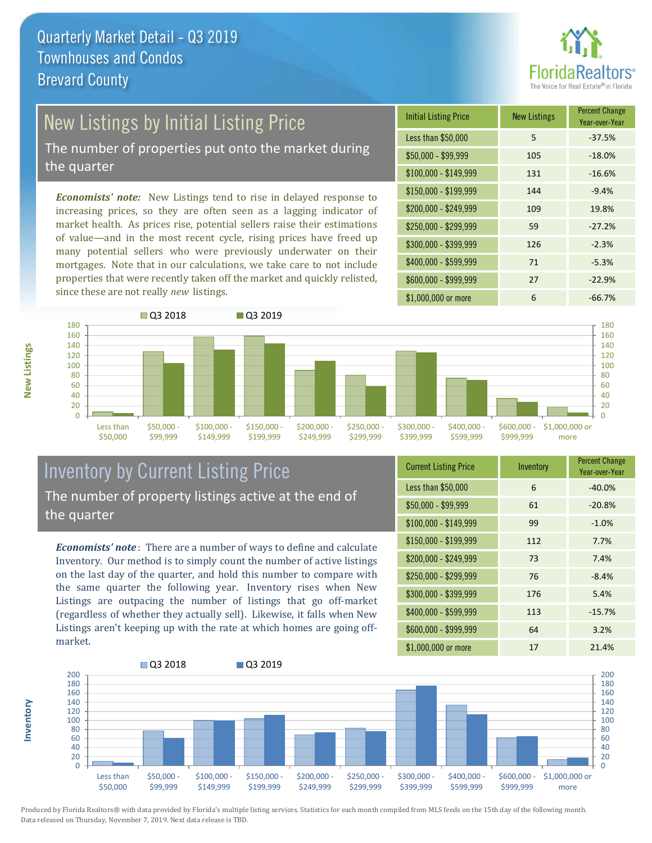

## New Listings by Initial Listing Price

The number of properties put onto the market during the quarter

*Economists' note:* New Listings tend to rise in delayed response to increasing prices, so they are often seen as a lagging indicator of market health. As prices rise, potential sellers raise their estimations of value—and in the most recent cycle, rising prices have freed up many potential sellers who were previously underwater on their mortgages. Note that in our calculations, we take care to not include properties that were recently taken off the market and quickly relisted, since these are not really *new* listings.





#### Inventory by Current Listing Price The number of property listings active at the end of the quarter

*Economists' note* : There are a number of ways to define and calculate Inventory. Our method is to simply count the number of active listings on the last day of the quarter, and hold this number to compare with the same quarter the following year. Inventory rises when New Listings are outpacing the number of listings that go off-market (regardless of whether they actually sell). Likewise, it falls when New Listings aren't keeping up with the rate at which homes are going offmarket.

| <b>Current Listing Price</b> | Inventory | <b>Percent Change</b><br>Year-over-Year |
|------------------------------|-----------|-----------------------------------------|
| Less than \$50,000           | 6         | $-40.0%$                                |
| $$50,000 - $99,999$          | 61        | $-20.8%$                                |
| $$100,000 - $149,999$        | 99        | $-1.0%$                                 |
| $$150,000 - $199,999$        | 112       | 7.7%                                    |
| \$200,000 - \$249,999        | 73        | 7.4%                                    |
| \$250,000 - \$299,999        | 76        | $-8.4%$                                 |
| \$300,000 - \$399,999        | 176       | 5.4%                                    |
| \$400,000 - \$599,999        | 113       | $-15.7%$                                |
| \$600,000 - \$999,999        | 64        | 3.2%                                    |
| \$1,000,000 or more          | 17        | 21.4%                                   |



Produced by Florida Realtors® with data provided by Florida's multiple listing services. Statistics for each month compiled from MLS feeds on the 15th day of the following month. Data released on Thursday, November 7, 2019. Next data release is TBD.

**Inventory**